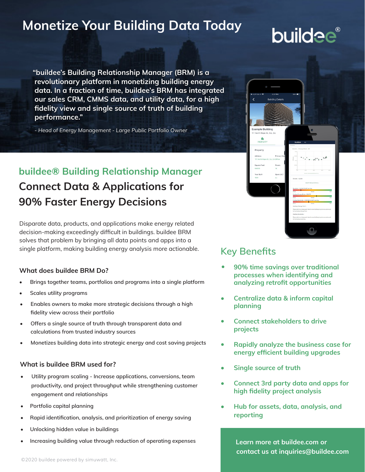# **Monetize Your Building Data Today**

# **buildee**®

**"buildee's Building Relationship Manager (BRM) is a revolutionary platform in monetizing building energy data. In a fraction of time, buildee's BRM has integrated our sales CRM, CMMS data, and utility data, for a high fidelity view and single source of truth of building performance."**

*- Head of Energy Management - Large Public Portfolio Owner*

# **buildee® Building Relationship Manager Connect Data & Applications for 90% Faster Energy Decisions**

Disparate data, products, and applications make energy related decision-making exceedingly difficult in buildings. buildee BRM solves that problem by bringing all data points and apps into a single platform, making building energy analysis more actionable.

#### **What does buildee BRM Do?**

- **• Brings together teams, portfolios and programs into a single platform**
- **• Scales utility programs**
- **• Enables owners to make more strategic decisions through a high fidelity view across their portfolio**
- **• Offers a single source of truth through transparent data and calculations from trusted industry sources**
- **• Monetizes building data into strategic energy and cost saving projects**

#### **What is buildee BRM used for?**

- **• Utility program scaling Increase applications, conversions, team productivity, and project throughput while strengthening customer engagement and relationships**
- **• Portfolio capital planning**
- **• Rapid identification, analysis, and prioritization of energy saving**
- **• Unlocking hidden value in buildings**
- **• Increasing building value through reduction of operating expenses**



## **Key Benefits**

- **90% time savings over traditional processes when identifying and analyzing retrofit opportunities •**
- **Centralize data & inform capital planning •**
- **Connect stakeholders to drive projects •**
- **Rapidly analyze the business case for energy efficient building upgrades •**
- **Single source of truth •**
- **Connect 3rd party data and apps for high fidelity project analysis •**
- **Hub for assets, data, analysis, and reporting •**

 **Learn more at buildee.com or contact us at inquiries@buildee.com**